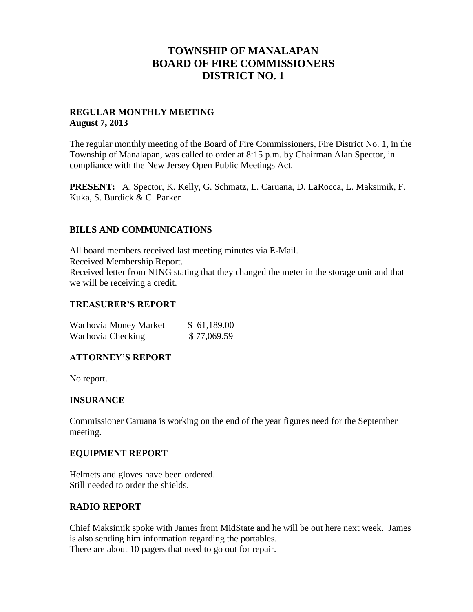## **TOWNSHIP OF MANALAPAN BOARD OF FIRE COMMISSIONERS DISTRICT NO. 1**

## **REGULAR MONTHLY MEETING August 7, 2013**

The regular monthly meeting of the Board of Fire Commissioners, Fire District No. 1, in the Township of Manalapan, was called to order at 8:15 p.m. by Chairman Alan Spector, in compliance with the New Jersey Open Public Meetings Act.

**PRESENT:** A. Spector, K. Kelly, G. Schmatz, L. Caruana, D. LaRocca, L. Maksimik, F. Kuka, S. Burdick & C. Parker

## **BILLS AND COMMUNICATIONS**

All board members received last meeting minutes via E-Mail. Received Membership Report. Received letter from NJNG stating that they changed the meter in the storage unit and that we will be receiving a credit.

### **TREASURER'S REPORT**

| Wachovia Money Market | \$61,189.00 |
|-----------------------|-------------|
| Wachovia Checking     | \$77,069.59 |

### **ATTORNEY'S REPORT**

No report.

### **INSURANCE**

Commissioner Caruana is working on the end of the year figures need for the September meeting.

### **EQUIPMENT REPORT**

Helmets and gloves have been ordered. Still needed to order the shields.

### **RADIO REPORT**

Chief Maksimik spoke with James from MidState and he will be out here next week. James is also sending him information regarding the portables. There are about 10 pagers that need to go out for repair.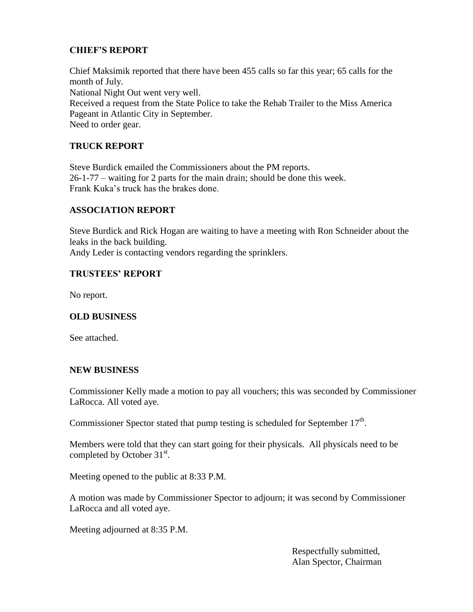## **CHIEF'S REPORT**

Chief Maksimik reported that there have been 455 calls so far this year; 65 calls for the month of July. National Night Out went very well. Received a request from the State Police to take the Rehab Trailer to the Miss America Pageant in Atlantic City in September. Need to order gear.

## **TRUCK REPORT**

Steve Burdick emailed the Commissioners about the PM reports. 26-1-77 – waiting for 2 parts for the main drain; should be done this week. Frank Kuka's truck has the brakes done.

## **ASSOCIATION REPORT**

Steve Burdick and Rick Hogan are waiting to have a meeting with Ron Schneider about the leaks in the back building.

Andy Leder is contacting vendors regarding the sprinklers.

## **TRUSTEES' REPORT**

No report.

### **OLD BUSINESS**

See attached.

### **NEW BUSINESS**

Commissioner Kelly made a motion to pay all vouchers; this was seconded by Commissioner LaRocca. All voted aye.

Commissioner Spector stated that pump testing is scheduled for September  $17<sup>th</sup>$ .

Members were told that they can start going for their physicals. All physicals need to be completed by October  $31^{st}$ .

Meeting opened to the public at 8:33 P.M.

A motion was made by Commissioner Spector to adjourn; it was second by Commissioner LaRocca and all voted aye.

Meeting adjourned at 8:35 P.M.

 Respectfully submitted, Alan Spector, Chairman